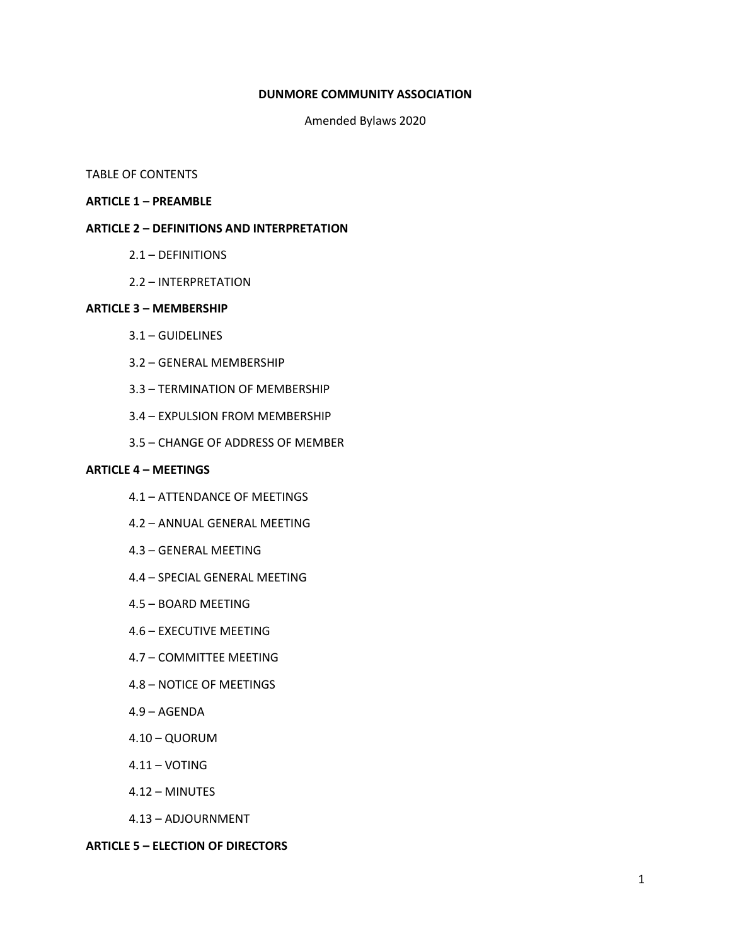#### **DUNMORE COMMUNITY ASSOCIATION**

Amended Bylaws 2020

## TABLE OF CONTENTS

#### **ARTICLE 1 – PREAMBLE**

## **ARTICLE 2 – DEFINITIONS AND INTERPRETATION**

- 2.1 DEFINITIONS
- 2.2 INTERPRETATION

#### **ARTICLE 3 – MEMBERSHIP**

- 3.1 GUIDELINES
- 3.2 GENERAL MEMBERSHIP
- 3.3 TERMINATION OF MEMBERSHIP
- 3.4 EXPULSION FROM MEMBERSHIP
- 3.5 CHANGE OF ADDRESS OF MEMBER

#### **ARTICLE 4 – MEETINGS**

- 4.1 ATTENDANCE OF MEETINGS
- 4.2 ANNUAL GENERAL MEETING
- 4.3 GENERAL MEETING
- 4.4 SPECIAL GENERAL MEETING
- 4.5 BOARD MEETING
- 4.6 EXECUTIVE MEETING
- 4.7 COMMITTEE MEETING
- 4.8 NOTICE OF MEETINGS
- 4.9 AGENDA
- 4.10 QUORUM
- $4.11 VOTING$
- 4.12 MINUTES
- 4.13 ADJOURNMENT

## **ARTICLE 5 – ELECTION OF DIRECTORS**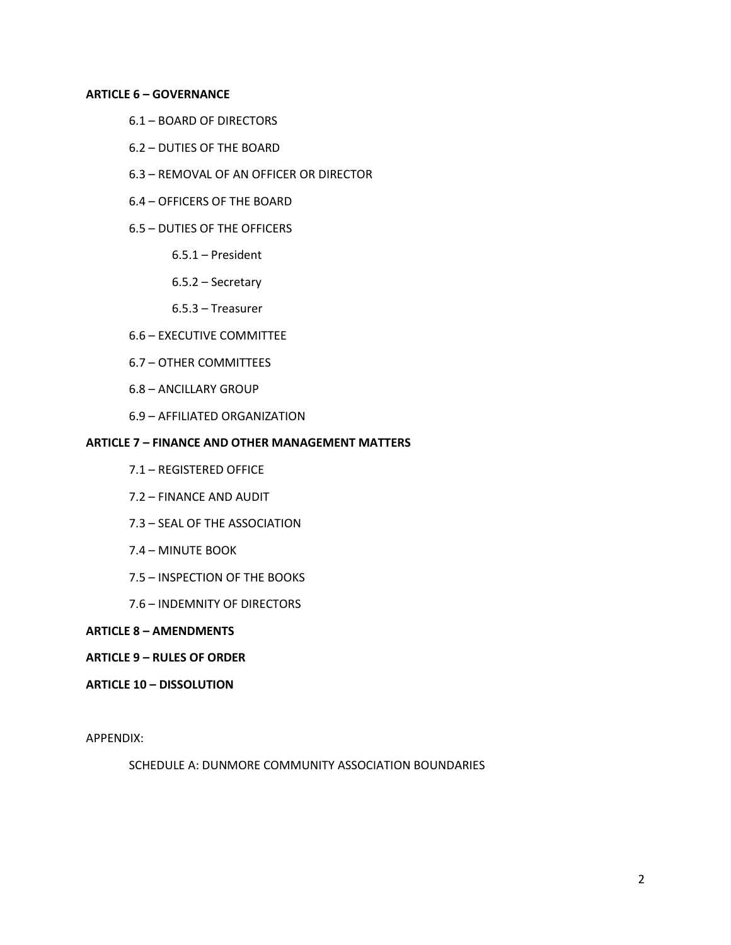## **ARTICLE 6 – GOVERNANCE**

- 6.1 BOARD OF DIRECTORS
- 6.2 DUTIES OF THE BOARD
- 6.3 REMOVAL OF AN OFFICER OR DIRECTOR
- 6.4 OFFICERS OF THE BOARD
- 6.5 DUTIES OF THE OFFICERS
	- 6.5.1 President
	- 6.5.2 Secretary
	- 6.5.3 Treasurer
- 6.6 EXECUTIVE COMMITTEE
- 6.7 OTHER COMMITTEES
- 6.8 ANCILLARY GROUP
- 6.9 AFFILIATED ORGANIZATION

## **ARTICLE 7 – FINANCE AND OTHER MANAGEMENT MATTERS**

- 7.1 REGISTERED OFFICE
- 7.2 FINANCE AND AUDIT
- 7.3 SEAL OF THE ASSOCIATION
- 7.4 MINUTE BOOK
- 7.5 INSPECTION OF THE BOOKS
- 7.6 INDEMNITY OF DIRECTORS

#### **ARTICLE 8 – AMENDMENTS**

# **ARTICLE 9 – RULES OF ORDER**

# **ARTICLE 10 – DISSOLUTION**

APPENDIX:

SCHEDULE A: DUNMORE COMMUNITY ASSOCIATION BOUNDARIES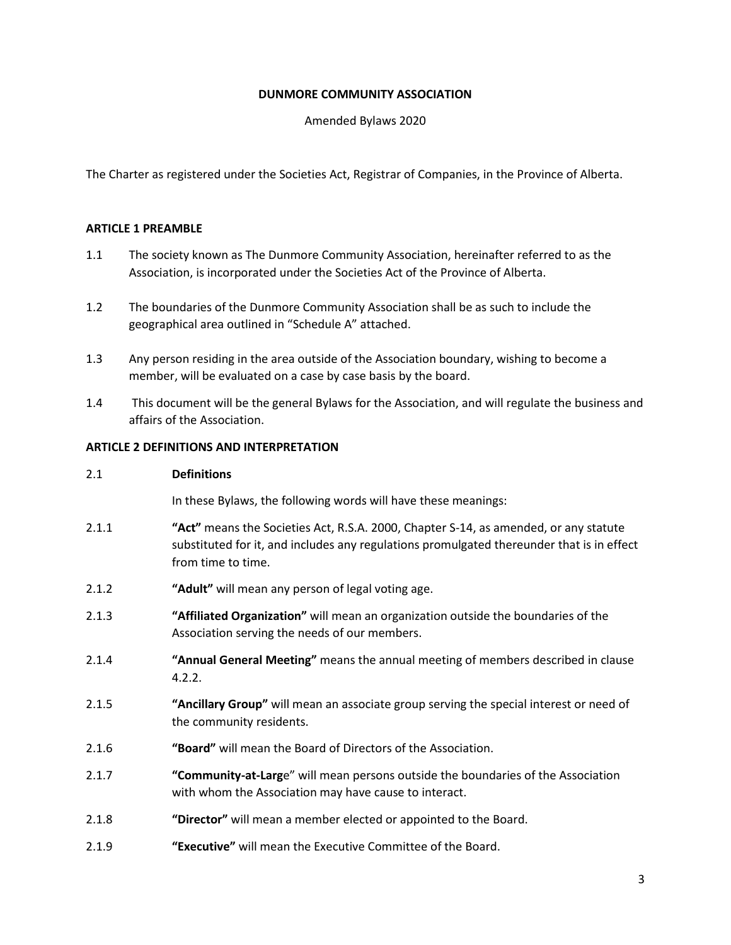## **DUNMORE COMMUNITY ASSOCIATION**

Amended Bylaws 2020

The Charter as registered under the Societies Act, Registrar of Companies, in the Province of Alberta.

## **ARTICLE 1 PREAMBLE**

- 1.1 The society known as The Dunmore Community Association, hereinafter referred to as the Association, is incorporated under the Societies Act of the Province of Alberta.
- 1.2 The boundaries of the Dunmore Community Association shall be as such to include the geographical area outlined in "Schedule A" attached.
- 1.3 Any person residing in the area outside of the Association boundary, wishing to become a member, will be evaluated on a case by case basis by the board.
- 1.4 This document will be the general Bylaws for the Association, and will regulate the business and affairs of the Association.

# **ARTICLE 2 DEFINITIONS AND INTERPRETATION**

#### 2.1 **Definitions**

In these Bylaws, the following words will have these meanings:

- 2.1.1 **"Act"** means the Societies Act, R.S.A. 2000, Chapter S-14, as amended, or any statute substituted for it, and includes any regulations promulgated thereunder that is in effect from time to time.
- 2.1.2 **"Adult"** will mean any person of legal voting age.
- 2.1.3 **"Affiliated Organization"** will mean an organization outside the boundaries of the Association serving the needs of our members.
- 2.1.4 **"Annual General Meeting"** means the annual meeting of members described in clause 4.2.2.
- 2.1.5 **"Ancillary Group"** will mean an associate group serving the special interest or need of the community residents.
- 2.1.6 **"Board"** will mean the Board of Directors of the Association.
- 2.1.7 **"Community-at-Larg**e" will mean persons outside the boundaries of the Association with whom the Association may have cause to interact.
- 2.1.8 **"Director"** will mean a member elected or appointed to the Board.
- 2.1.9 **"Executive"** will mean the Executive Committee of the Board.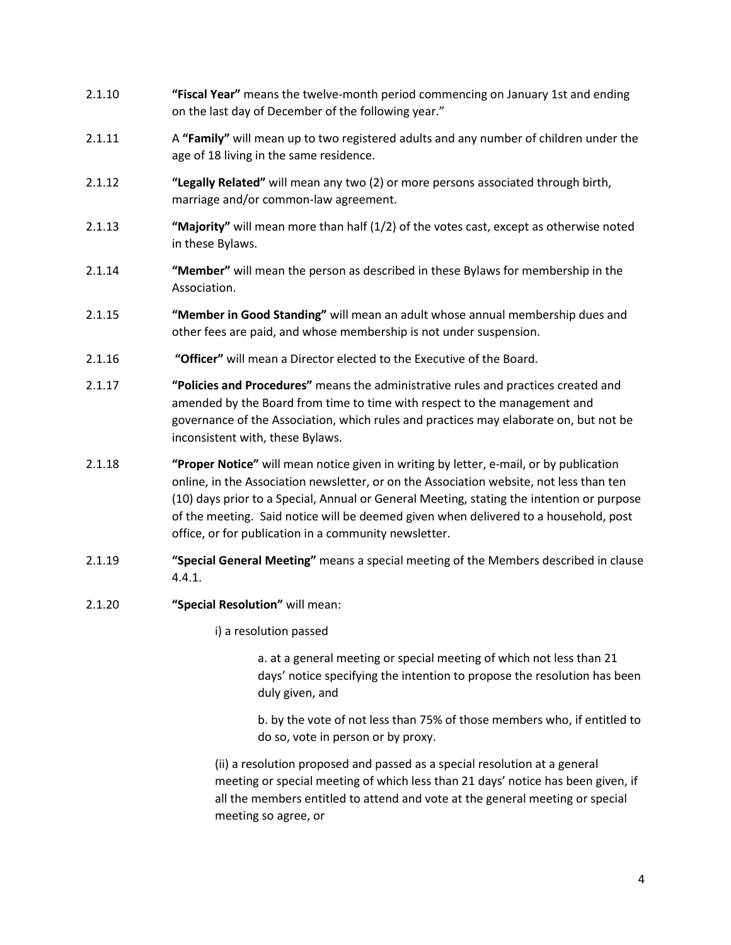- 2.1.10 **"Fiscal Year"** means the twelve-month period commencing on January 1st and ending on the last day of December of the following year."
- 2.1.11 A **"Family"** will mean up to two registered adults and any number of children under the age of 18 living in the same residence.
- 2.1.12 **"Legally Related"** will mean any two (2) or more persons associated through birth, marriage and/or common-law agreement.
- 2.1.13 **"Majority"** will mean more than half (1/2) of the votes cast, except as otherwise noted in these Bylaws.
- 2.1.14 **"Member"** will mean the person as described in these Bylaws for membership in the Association.
- 2.1.15 **"Member in Good Standing"** will mean an adult whose annual membership dues and other fees are paid, and whose membership is not under suspension.
- 2.1.16 **"Officer"** will mean a Director elected to the Executive of the Board.
- 2.1.17 **"Policies and Procedures"** means the administrative rules and practices created and amended by the Board from time to time with respect to the management and governance of the Association, which rules and practices may elaborate on, but not be inconsistent with, these Bylaws.
- 2.1.18 **"Proper Notice"** will mean notice given in writing by letter, e-mail, or by publication online, in the Association newsletter, or on the Association website, not less than ten (10) days prior to a Special, Annual or General Meeting, stating the intention or purpose of the meeting. Said notice will be deemed given when delivered to a household, post office, or for publication in a community newsletter.
- 2.1.19 **"Special General Meeting"** means a special meeting of the Members described in clause 4.4.1.
- 2.1.20 **"Special Resolution"** will mean:

i) a resolution passed

a. at a general meeting or special meeting of which not less than 21 days' notice specifying the intention to propose the resolution has been duly given, and

b. by the vote of not less than 75% of those members who, if entitled to do so, vote in person or by proxy.

(ii) a resolution proposed and passed as a special resolution at a general meeting or special meeting of which less than 21 days' notice has been given, if all the members entitled to attend and vote at the general meeting or special meeting so agree, or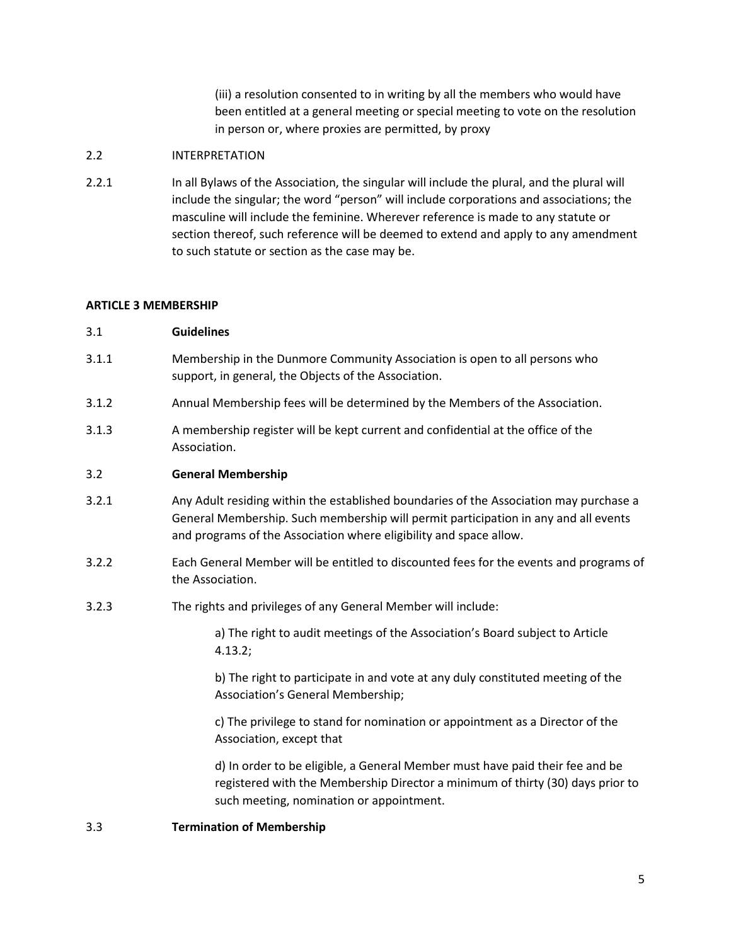(iii) a resolution consented to in writing by all the members who would have been entitled at a general meeting or special meeting to vote on the resolution in person or, where proxies are permitted, by proxy

## 2.2 INTERPRETATION

2.2.1 In all Bylaws of the Association, the singular will include the plural, and the plural will include the singular; the word "person" will include corporations and associations; the masculine will include the feminine. Wherever reference is made to any statute or section thereof, such reference will be deemed to extend and apply to any amendment to such statute or section as the case may be.

## **ARTICLE 3 MEMBERSHIP**

## 3.1 **Guidelines**

- 3.1.1 Membership in the Dunmore Community Association is open to all persons who support, in general, the Objects of the Association.
- 3.1.2 Annual Membership fees will be determined by the Members of the Association.
- 3.1.3 A membership register will be kept current and confidential at the office of the Association.

## 3.2 **General Membership**

- 3.2.1 Any Adult residing within the established boundaries of the Association may purchase a General Membership. Such membership will permit participation in any and all events and programs of the Association where eligibility and space allow.
- 3.2.2 Each General Member will be entitled to discounted fees for the events and programs of the Association.
- 3.2.3 The rights and privileges of any General Member will include:

a) The right to audit meetings of the Association's Board subject to Article 4.13.2;

b) The right to participate in and vote at any duly constituted meeting of the Association's General Membership;

c) The privilege to stand for nomination or appointment as a Director of the Association, except that

d) In order to be eligible, a General Member must have paid their fee and be registered with the Membership Director a minimum of thirty (30) days prior to such meeting, nomination or appointment.

#### 3.3 **Termination of Membership**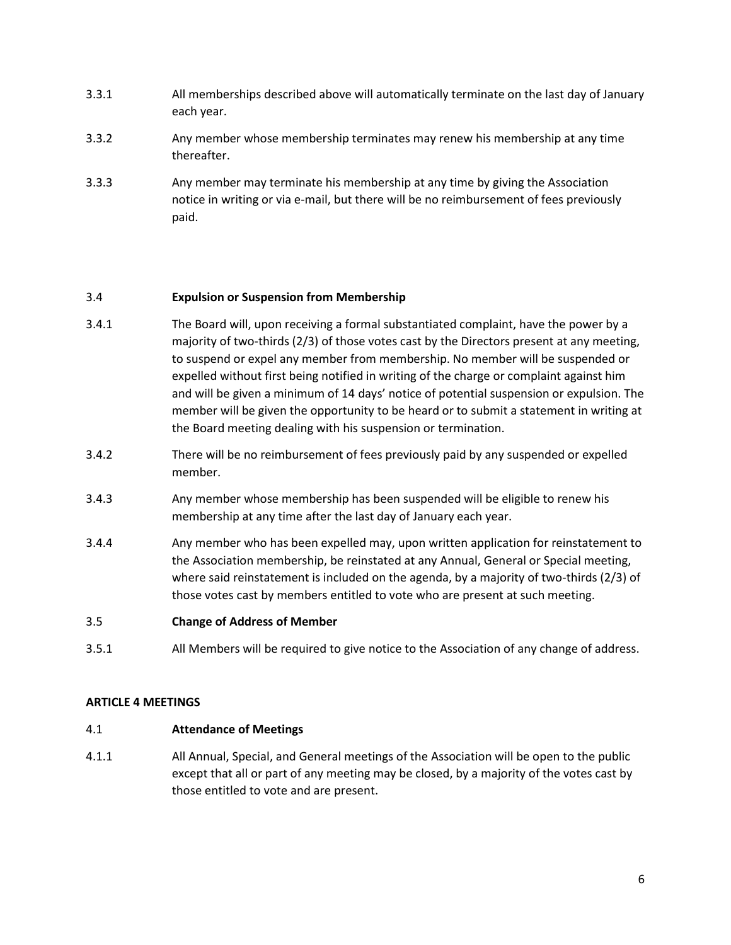- 3.3.1 All memberships described above will automatically terminate on the last day of January each year.
- 3.3.2 Any member whose membership terminates may renew his membership at any time thereafter.
- 3.3.3 Any member may terminate his membership at any time by giving the Association notice in writing or via e-mail, but there will be no reimbursement of fees previously paid.

## 3.4 **Expulsion or Suspension from Membership**

- 3.4.1 The Board will, upon receiving a formal substantiated complaint, have the power by a majority of two-thirds (2/3) of those votes cast by the Directors present at any meeting, to suspend or expel any member from membership. No member will be suspended or expelled without first being notified in writing of the charge or complaint against him and will be given a minimum of 14 days' notice of potential suspension or expulsion. The member will be given the opportunity to be heard or to submit a statement in writing at the Board meeting dealing with his suspension or termination.
- 3.4.2 There will be no reimbursement of fees previously paid by any suspended or expelled member.
- 3.4.3 Any member whose membership has been suspended will be eligible to renew his membership at any time after the last day of January each year.
- 3.4.4 Any member who has been expelled may, upon written application for reinstatement to the Association membership, be reinstated at any Annual, General or Special meeting, where said reinstatement is included on the agenda, by a majority of two-thirds (2/3) of those votes cast by members entitled to vote who are present at such meeting.
- 3.5 **Change of Address of Member**
- 3.5.1 All Members will be required to give notice to the Association of any change of address.

#### **ARTICLE 4 MEETINGS**

#### 4.1 **Attendance of Meetings**

4.1.1 All Annual, Special, and General meetings of the Association will be open to the public except that all or part of any meeting may be closed, by a majority of the votes cast by those entitled to vote and are present.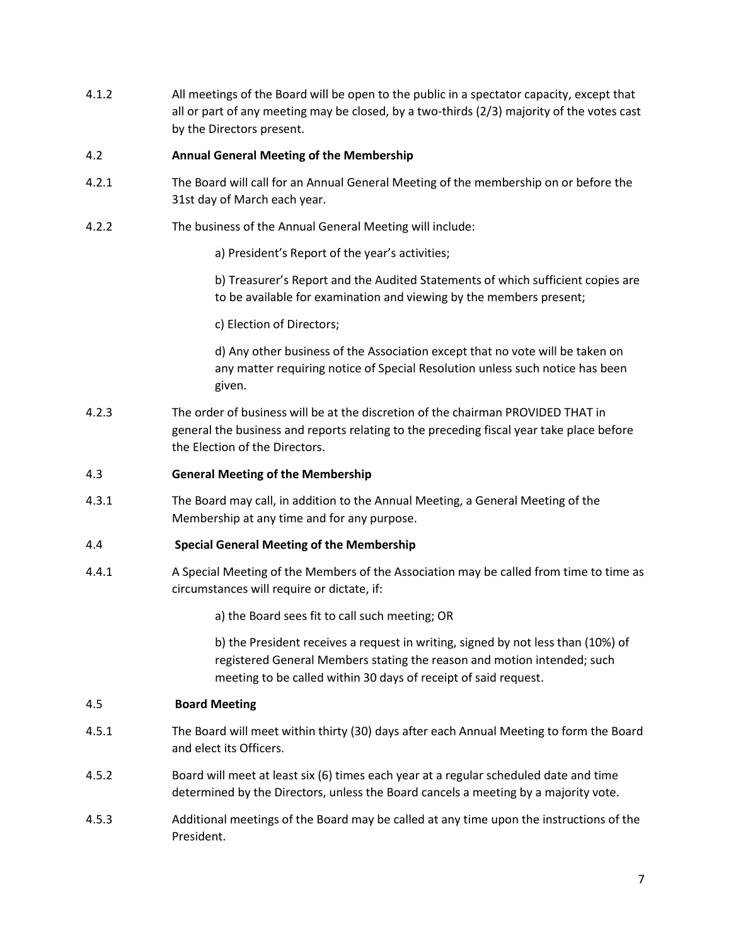4.1.2 All meetings of the Board will be open to the public in a spectator capacity, except that all or part of any meeting may be closed, by a two-thirds (2/3) majority of the votes cast by the Directors present.

# 4.2 **Annual General Meeting of the Membership**

- 4.2.1 The Board will call for an Annual General Meeting of the membership on or before the 31st day of March each year.
- 4.2.2 The business of the Annual General Meeting will include:
	- a) President's Report of the year's activities;
	- b) Treasurer's Report and the Audited Statements of which sufficient copies are to be available for examination and viewing by the members present;
	- c) Election of Directors;

d) Any other business of the Association except that no vote will be taken on any matter requiring notice of Special Resolution unless such notice has been given.

4.2.3 The order of business will be at the discretion of the chairman PROVIDED THAT in general the business and reports relating to the preceding fiscal year take place before the Election of the Directors.

# 4.3 **General Meeting of the Membership**

4.3.1 The Board may call, in addition to the Annual Meeting, a General Meeting of the Membership at any time and for any purpose.

# 4.4 **Special General Meeting of the Membership**

4.4.1 A Special Meeting of the Members of the Association may be called from time to time as circumstances will require or dictate, if:

a) the Board sees fit to call such meeting; OR

b) the President receives a request in writing, signed by not less than (10%) of registered General Members stating the reason and motion intended; such meeting to be called within 30 days of receipt of said request.

# 4.5 **Board Meeting**

- 4.5.1 The Board will meet within thirty (30) days after each Annual Meeting to form the Board and elect its Officers.
- 4.5.2 Board will meet at least six (6) times each year at a regular scheduled date and time determined by the Directors, unless the Board cancels a meeting by a majority vote.
- 4.5.3 Additional meetings of the Board may be called at any time upon the instructions of the President.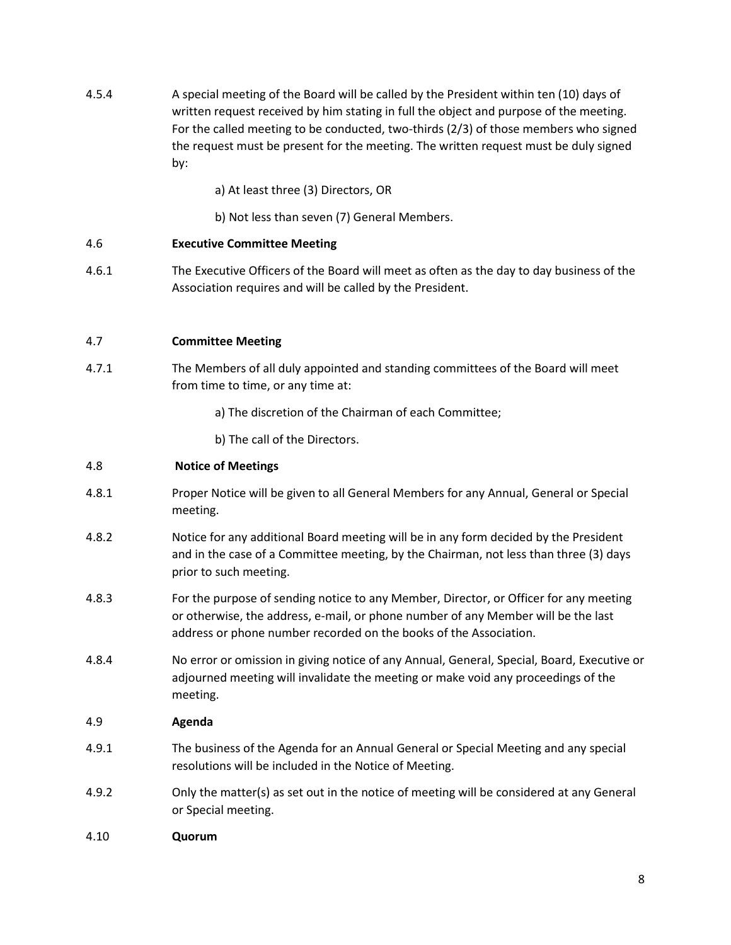- 4.5.4 A special meeting of the Board will be called by the President within ten (10) days of written request received by him stating in full the object and purpose of the meeting. For the called meeting to be conducted, two-thirds (2/3) of those members who signed the request must be present for the meeting. The written request must be duly signed by:
	- a) At least three (3) Directors, OR
	- b) Not less than seven (7) General Members.

# 4.6 **Executive Committee Meeting**

4.6.1 The Executive Officers of the Board will meet as often as the day to day business of the Association requires and will be called by the President.

## 4.7 **Committee Meeting**

- 4.7.1 The Members of all duly appointed and standing committees of the Board will meet from time to time, or any time at:
	- a) The discretion of the Chairman of each Committee;
	- b) The call of the Directors.

## 4.8 **Notice of Meetings**

- 4.8.1 Proper Notice will be given to all General Members for any Annual, General or Special meeting.
- 4.8.2 Notice for any additional Board meeting will be in any form decided by the President and in the case of a Committee meeting, by the Chairman, not less than three (3) days prior to such meeting.
- 4.8.3 For the purpose of sending notice to any Member, Director, or Officer for any meeting or otherwise, the address, e-mail, or phone number of any Member will be the last address or phone number recorded on the books of the Association.
- 4.8.4 No error or omission in giving notice of any Annual, General, Special, Board, Executive or adjourned meeting will invalidate the meeting or make void any proceedings of the meeting.

#### 4.9 **Agenda**

- 4.9.1 The business of the Agenda for an Annual General or Special Meeting and any special resolutions will be included in the Notice of Meeting.
- 4.9.2 Only the matter(s) as set out in the notice of meeting will be considered at any General or Special meeting.
- 4.10 **Quorum**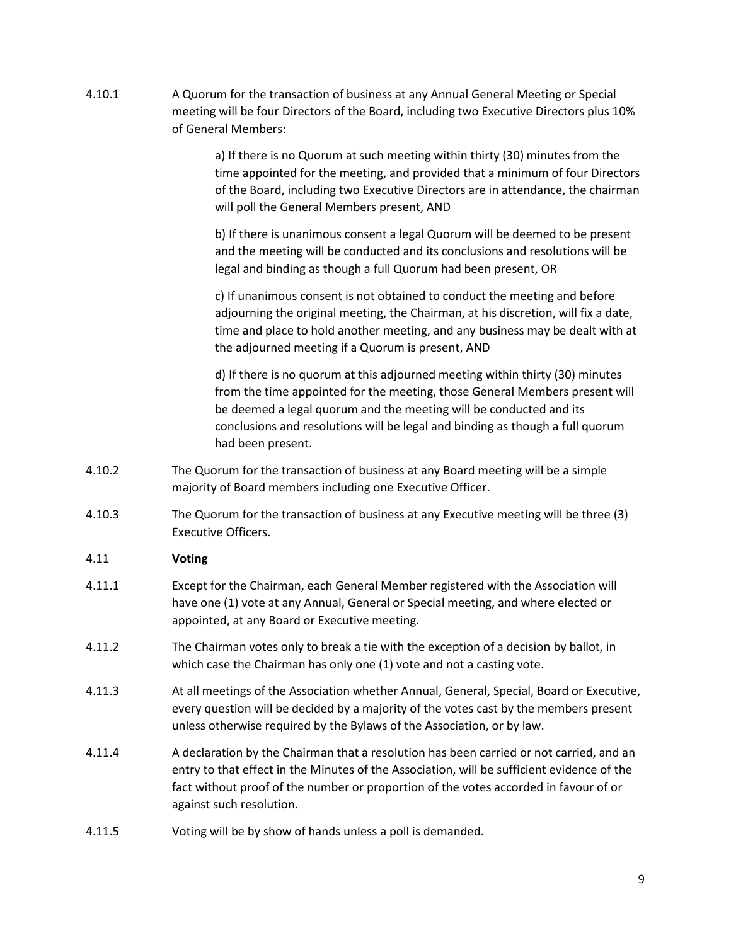4.10.1 A Quorum for the transaction of business at any Annual General Meeting or Special meeting will be four Directors of the Board, including two Executive Directors plus 10% of General Members:

> a) If there is no Quorum at such meeting within thirty (30) minutes from the time appointed for the meeting, and provided that a minimum of four Directors of the Board, including two Executive Directors are in attendance, the chairman will poll the General Members present, AND

b) If there is unanimous consent a legal Quorum will be deemed to be present and the meeting will be conducted and its conclusions and resolutions will be legal and binding as though a full Quorum had been present, OR

c) If unanimous consent is not obtained to conduct the meeting and before adjourning the original meeting, the Chairman, at his discretion, will fix a date, time and place to hold another meeting, and any business may be dealt with at the adjourned meeting if a Quorum is present, AND

d) If there is no quorum at this adjourned meeting within thirty (30) minutes from the time appointed for the meeting, those General Members present will be deemed a legal quorum and the meeting will be conducted and its conclusions and resolutions will be legal and binding as though a full quorum had been present.

- 4.10.2 The Quorum for the transaction of business at any Board meeting will be a simple majority of Board members including one Executive Officer.
- 4.10.3 The Quorum for the transaction of business at any Executive meeting will be three (3) Executive Officers.

# 4.11 **Voting**

- 4.11.1 Except for the Chairman, each General Member registered with the Association will have one (1) vote at any Annual, General or Special meeting, and where elected or appointed, at any Board or Executive meeting.
- 4.11.2 The Chairman votes only to break a tie with the exception of a decision by ballot, in which case the Chairman has only one (1) vote and not a casting vote.
- 4.11.3 At all meetings of the Association whether Annual, General, Special, Board or Executive, every question will be decided by a majority of the votes cast by the members present unless otherwise required by the Bylaws of the Association, or by law.
- 4.11.4 A declaration by the Chairman that a resolution has been carried or not carried, and an entry to that effect in the Minutes of the Association, will be sufficient evidence of the fact without proof of the number or proportion of the votes accorded in favour of or against such resolution.
- 4.11.5 Voting will be by show of hands unless a poll is demanded.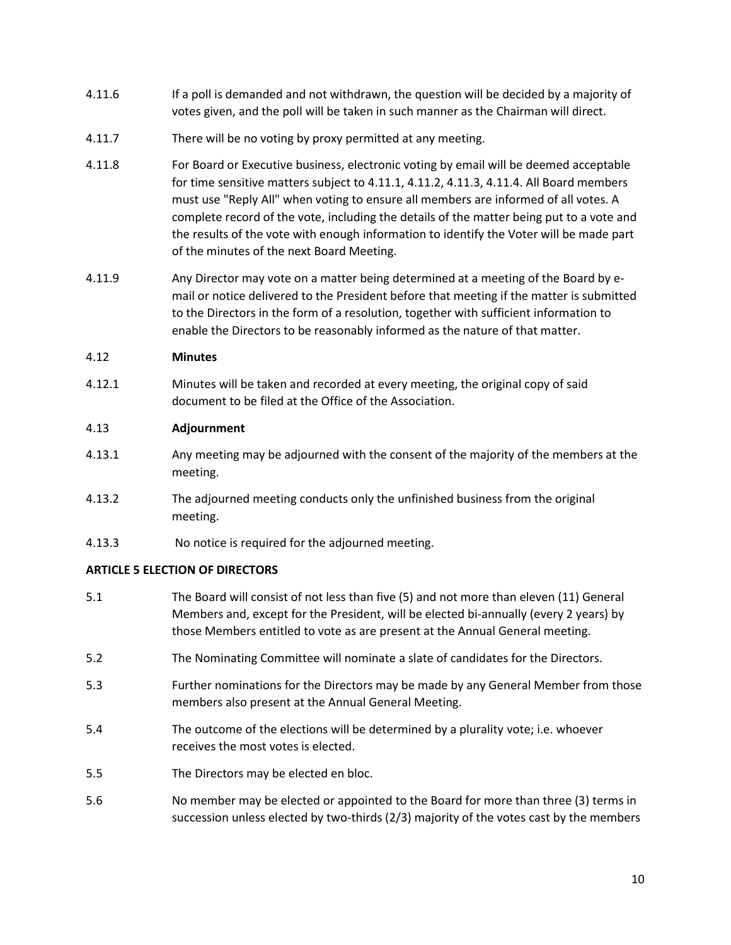- 4.11.6 If a poll is demanded and not withdrawn, the question will be decided by a majority of votes given, and the poll will be taken in such manner as the Chairman will direct.
- 4.11.7 There will be no voting by proxy permitted at any meeting.
- 4.11.8 For Board or Executive business, electronic voting by email will be deemed acceptable for time sensitive matters subject to 4.11.1, 4.11.2, 4.11.3, 4.11.4. All Board members must use "Reply All" when voting to ensure all members are informed of all votes. A complete record of the vote, including the details of the matter being put to a vote and the results of the vote with enough information to identify the Voter will be made part of the minutes of the next Board Meeting.
- 4.11.9 Any Director may vote on a matter being determined at a meeting of the Board by email or notice delivered to the President before that meeting if the matter is submitted to the Directors in the form of a resolution, together with sufficient information to enable the Directors to be reasonably informed as the nature of that matter.

# 4.12 **Minutes**

4.12.1 Minutes will be taken and recorded at every meeting, the original copy of said document to be filed at the Office of the Association.

# 4.13 **Adjournment**

- 4.13.1 Any meeting may be adjourned with the consent of the majority of the members at the meeting.
- 4.13.2 The adjourned meeting conducts only the unfinished business from the original meeting.
- 4.13.3 No notice is required for the adjourned meeting.

# **ARTICLE 5 ELECTION OF DIRECTORS**

- 5.1 The Board will consist of not less than five (5) and not more than eleven (11) General Members and, except for the President, will be elected bi-annually (every 2 years) by those Members entitled to vote as are present at the Annual General meeting.
- 5.2 The Nominating Committee will nominate a slate of candidates for the Directors.
- 5.3 Further nominations for the Directors may be made by any General Member from those members also present at the Annual General Meeting.
- 5.4 The outcome of the elections will be determined by a plurality vote; i.e. whoever receives the most votes is elected.
- 5.5 The Directors may be elected en bloc.
- 5.6 No member may be elected or appointed to the Board for more than three (3) terms in succession unless elected by two-thirds (2/3) majority of the votes cast by the members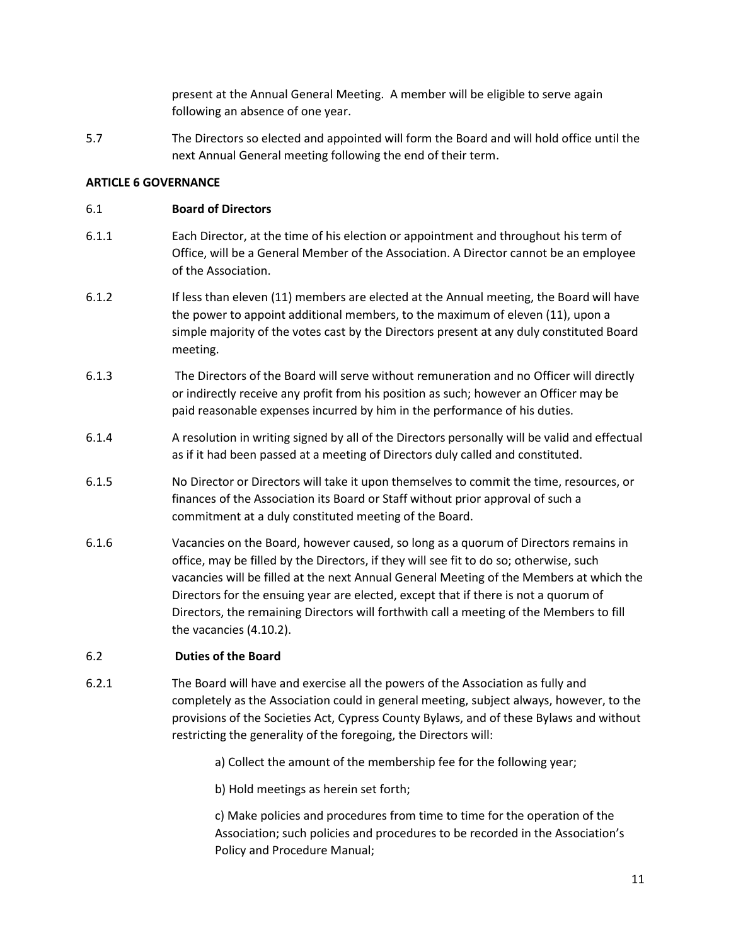present at the Annual General Meeting. A member will be eligible to serve again following an absence of one year.

5.7 The Directors so elected and appointed will form the Board and will hold office until the next Annual General meeting following the end of their term.

## **ARTICLE 6 GOVERNANCE**

# 6.1 **Board of Directors**

- 6.1.1 Each Director, at the time of his election or appointment and throughout his term of Office, will be a General Member of the Association. A Director cannot be an employee of the Association.
- 6.1.2 If less than eleven (11) members are elected at the Annual meeting, the Board will have the power to appoint additional members, to the maximum of eleven (11), upon a simple majority of the votes cast by the Directors present at any duly constituted Board meeting.
- 6.1.3 The Directors of the Board will serve without remuneration and no Officer will directly or indirectly receive any profit from his position as such; however an Officer may be paid reasonable expenses incurred by him in the performance of his duties.
- 6.1.4 A resolution in writing signed by all of the Directors personally will be valid and effectual as if it had been passed at a meeting of Directors duly called and constituted.
- 6.1.5 No Director or Directors will take it upon themselves to commit the time, resources, or finances of the Association its Board or Staff without prior approval of such a commitment at a duly constituted meeting of the Board.
- 6.1.6 Vacancies on the Board, however caused, so long as a quorum of Directors remains in office, may be filled by the Directors, if they will see fit to do so; otherwise, such vacancies will be filled at the next Annual General Meeting of the Members at which the Directors for the ensuing year are elected, except that if there is not a quorum of Directors, the remaining Directors will forthwith call a meeting of the Members to fill the vacancies (4.10.2).

# 6.2 **Duties of the Board**

- 6.2.1 The Board will have and exercise all the powers of the Association as fully and completely as the Association could in general meeting, subject always, however, to the provisions of the Societies Act, Cypress County Bylaws, and of these Bylaws and without restricting the generality of the foregoing, the Directors will:
	- a) Collect the amount of the membership fee for the following year;
	- b) Hold meetings as herein set forth;

c) Make policies and procedures from time to time for the operation of the Association; such policies and procedures to be recorded in the Association's Policy and Procedure Manual;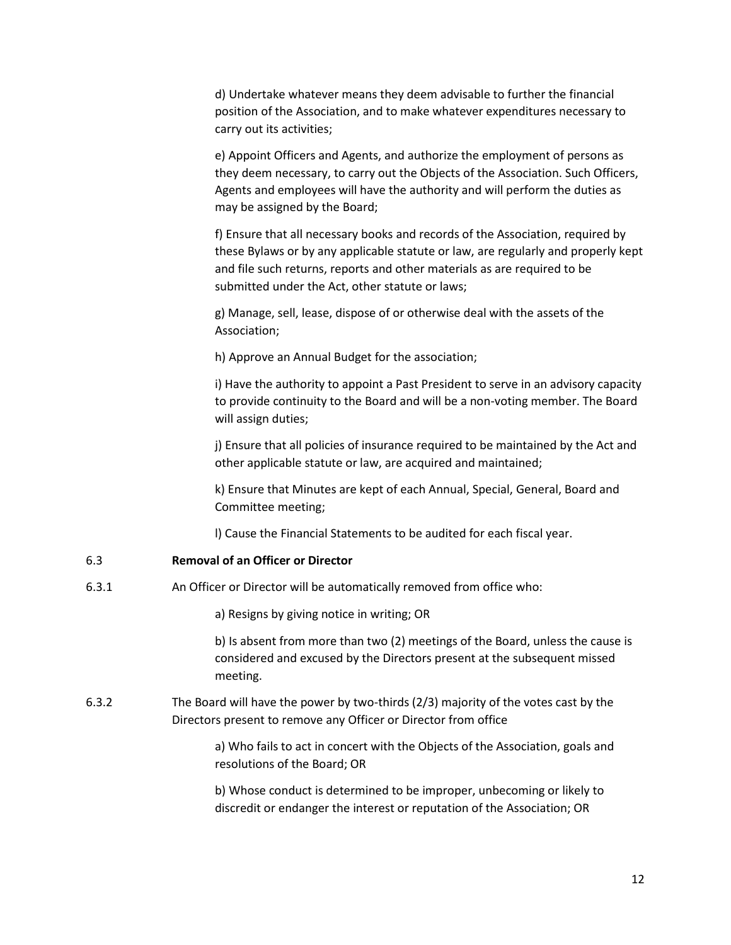d) Undertake whatever means they deem advisable to further the financial position of the Association, and to make whatever expenditures necessary to carry out its activities;

e) Appoint Officers and Agents, and authorize the employment of persons as they deem necessary, to carry out the Objects of the Association. Such Officers, Agents and employees will have the authority and will perform the duties as may be assigned by the Board;

f) Ensure that all necessary books and records of the Association, required by these Bylaws or by any applicable statute or law, are regularly and properly kept and file such returns, reports and other materials as are required to be submitted under the Act, other statute or laws;

g) Manage, sell, lease, dispose of or otherwise deal with the assets of the Association;

h) Approve an Annual Budget for the association;

i) Have the authority to appoint a Past President to serve in an advisory capacity to provide continuity to the Board and will be a non-voting member. The Board will assign duties;

j) Ensure that all policies of insurance required to be maintained by the Act and other applicable statute or law, are acquired and maintained;

k) Ensure that Minutes are kept of each Annual, Special, General, Board and Committee meeting;

l) Cause the Financial Statements to be audited for each fiscal year.

# 6.3 **Removal of an Officer or Director**

6.3.1 An Officer or Director will be automatically removed from office who:

a) Resigns by giving notice in writing; OR

b) Is absent from more than two (2) meetings of the Board, unless the cause is considered and excused by the Directors present at the subsequent missed meeting.

6.3.2 The Board will have the power by two-thirds (2/3) majority of the votes cast by the Directors present to remove any Officer or Director from office

> a) Who fails to act in concert with the Objects of the Association, goals and resolutions of the Board; OR

b) Whose conduct is determined to be improper, unbecoming or likely to discredit or endanger the interest or reputation of the Association; OR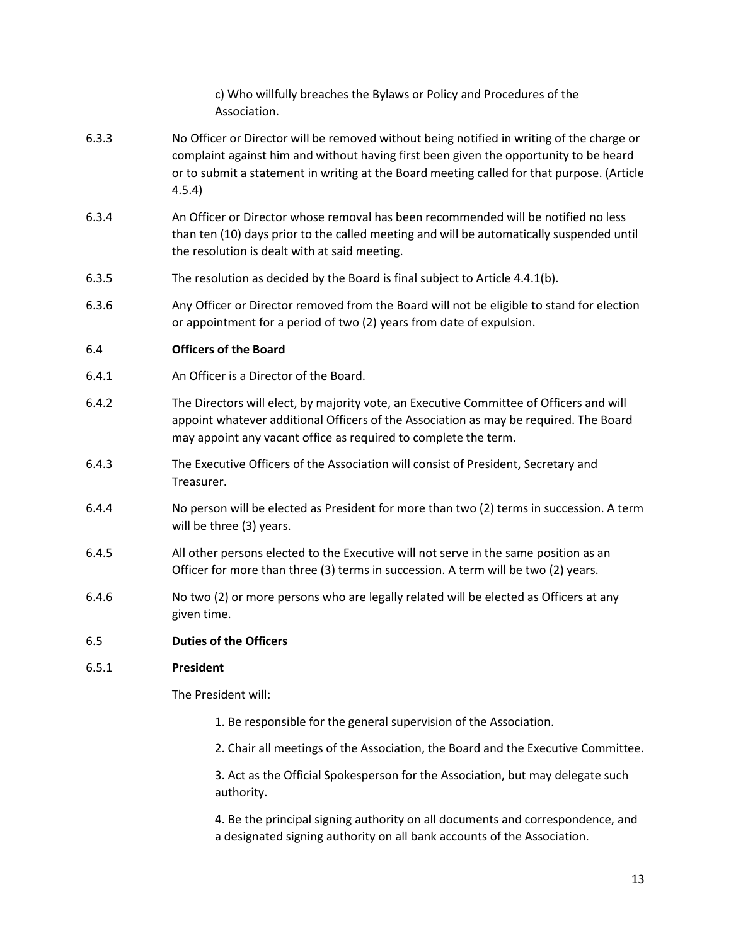c) Who willfully breaches the Bylaws or Policy and Procedures of the Association.

- 6.3.3 No Officer or Director will be removed without being notified in writing of the charge or complaint against him and without having first been given the opportunity to be heard or to submit a statement in writing at the Board meeting called for that purpose. (Article 4.5.4)
- 6.3.4 An Officer or Director whose removal has been recommended will be notified no less than ten (10) days prior to the called meeting and will be automatically suspended until the resolution is dealt with at said meeting.
- 6.3.5 The resolution as decided by the Board is final subject to Article 4.4.1(b).
- 6.3.6 Any Officer or Director removed from the Board will not be eligible to stand for election or appointment for a period of two (2) years from date of expulsion.

## 6.4 **Officers of the Board**

- 6.4.1 An Officer is a Director of the Board.
- 6.4.2 The Directors will elect, by majority vote, an Executive Committee of Officers and will appoint whatever additional Officers of the Association as may be required. The Board may appoint any vacant office as required to complete the term.
- 6.4.3 The Executive Officers of the Association will consist of President, Secretary and Treasurer.
- 6.4.4 No person will be elected as President for more than two (2) terms in succession. A term will be three (3) years.
- 6.4.5 All other persons elected to the Executive will not serve in the same position as an Officer for more than three (3) terms in succession. A term will be two (2) years.
- 6.4.6 No two (2) or more persons who are legally related will be elected as Officers at any given time.

#### 6.5 **Duties of the Officers**

#### 6.5.1 **President**

The President will:

- 1. Be responsible for the general supervision of the Association.
- 2. Chair all meetings of the Association, the Board and the Executive Committee.

3. Act as the Official Spokesperson for the Association, but may delegate such authority.

4. Be the principal signing authority on all documents and correspondence, and a designated signing authority on all bank accounts of the Association.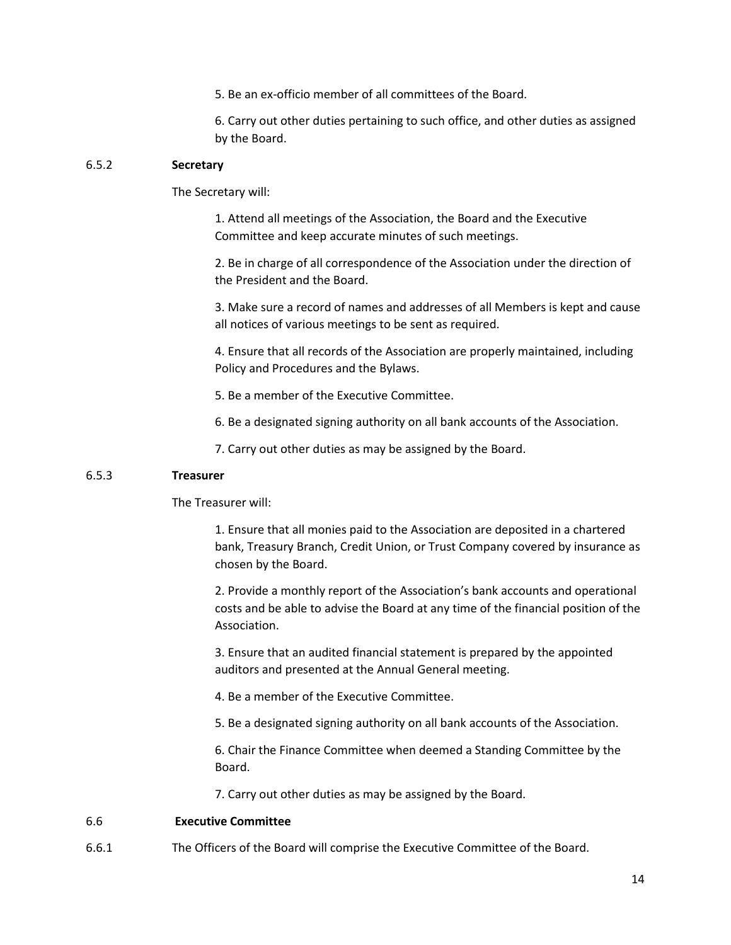5. Be an ex-officio member of all committees of the Board.

6. Carry out other duties pertaining to such office, and other duties as assigned by the Board.

# 6.5.2 **Secretary**

The Secretary will:

1. Attend all meetings of the Association, the Board and the Executive Committee and keep accurate minutes of such meetings.

2. Be in charge of all correspondence of the Association under the direction of the President and the Board.

3. Make sure a record of names and addresses of all Members is kept and cause all notices of various meetings to be sent as required.

4. Ensure that all records of the Association are properly maintained, including Policy and Procedures and the Bylaws.

- 5. Be a member of the Executive Committee.
- 6. Be a designated signing authority on all bank accounts of the Association.
- 7. Carry out other duties as may be assigned by the Board.

## 6.5.3 **Treasurer**

The Treasurer will:

1. Ensure that all monies paid to the Association are deposited in a chartered bank, Treasury Branch, Credit Union, or Trust Company covered by insurance as chosen by the Board.

2. Provide a monthly report of the Association's bank accounts and operational costs and be able to advise the Board at any time of the financial position of the Association.

3. Ensure that an audited financial statement is prepared by the appointed auditors and presented at the Annual General meeting.

- 4. Be a member of the Executive Committee.
- 5. Be a designated signing authority on all bank accounts of the Association.

6. Chair the Finance Committee when deemed a Standing Committee by the Board.

7. Carry out other duties as may be assigned by the Board.

#### 6.6 **Executive Committee**

6.6.1 The Officers of the Board will comprise the Executive Committee of the Board.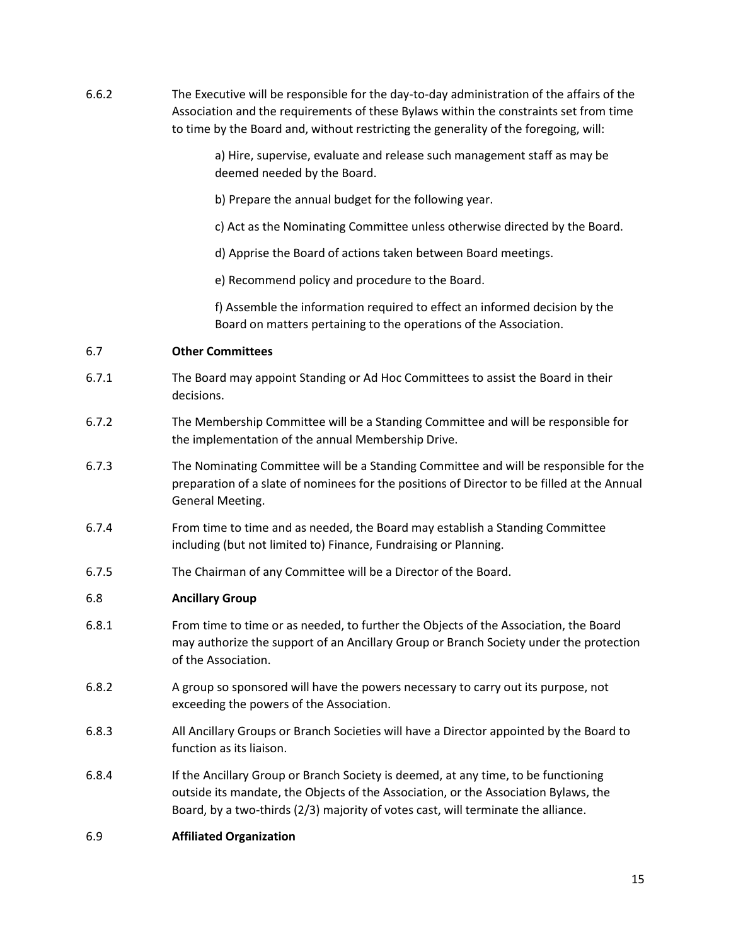6.6.2 The Executive will be responsible for the day-to-day administration of the affairs of the Association and the requirements of these Bylaws within the constraints set from time to time by the Board and, without restricting the generality of the foregoing, will:

> a) Hire, supervise, evaluate and release such management staff as may be deemed needed by the Board.

- b) Prepare the annual budget for the following year.
- c) Act as the Nominating Committee unless otherwise directed by the Board.
- d) Apprise the Board of actions taken between Board meetings.
- e) Recommend policy and procedure to the Board.

f) Assemble the information required to effect an informed decision by the Board on matters pertaining to the operations of the Association.

# 6.7 **Other Committees**

- 6.7.1 The Board may appoint Standing or Ad Hoc Committees to assist the Board in their decisions.
- 6.7.2 The Membership Committee will be a Standing Committee and will be responsible for the implementation of the annual Membership Drive.
- 6.7.3 The Nominating Committee will be a Standing Committee and will be responsible for the preparation of a slate of nominees for the positions of Director to be filled at the Annual General Meeting.
- 6.7.4 From time to time and as needed, the Board may establish a Standing Committee including (but not limited to) Finance, Fundraising or Planning.
- 6.7.5 The Chairman of any Committee will be a Director of the Board.

# 6.8 **Ancillary Group**

- 6.8.1 From time to time or as needed, to further the Objects of the Association, the Board may authorize the support of an Ancillary Group or Branch Society under the protection of the Association.
- 6.8.2 A group so sponsored will have the powers necessary to carry out its purpose, not exceeding the powers of the Association.
- 6.8.3 All Ancillary Groups or Branch Societies will have a Director appointed by the Board to function as its liaison.
- 6.8.4 If the Ancillary Group or Branch Society is deemed, at any time, to be functioning outside its mandate, the Objects of the Association, or the Association Bylaws, the Board, by a two-thirds (2/3) majority of votes cast, will terminate the alliance.

# 6.9 **Affiliated Organization**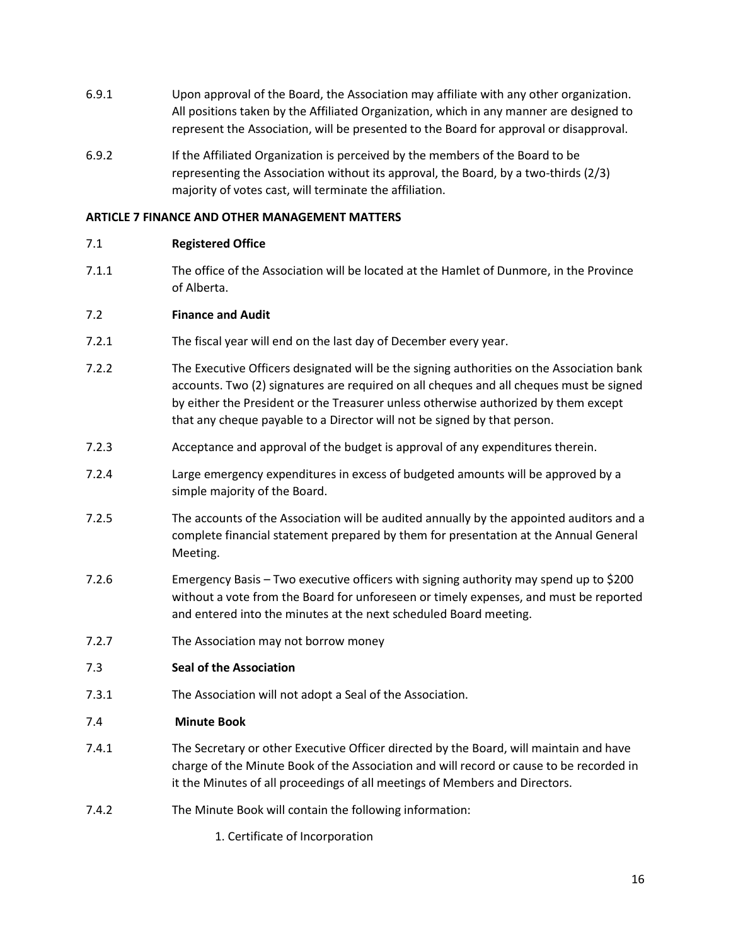- 6.9.1 Upon approval of the Board, the Association may affiliate with any other organization. All positions taken by the Affiliated Organization, which in any manner are designed to represent the Association, will be presented to the Board for approval or disapproval.
- 6.9.2 If the Affiliated Organization is perceived by the members of the Board to be representing the Association without its approval, the Board, by a two-thirds (2/3) majority of votes cast, will terminate the affiliation.

# **ARTICLE 7 FINANCE AND OTHER MANAGEMENT MATTERS**

## 7.1 **Registered Office**

7.1.1 The office of the Association will be located at the Hamlet of Dunmore, in the Province of Alberta.

## 7.2 **Finance and Audit**

- 7.2.1 The fiscal year will end on the last day of December every year.
- 7.2.2 The Executive Officers designated will be the signing authorities on the Association bank accounts. Two (2) signatures are required on all cheques and all cheques must be signed by either the President or the Treasurer unless otherwise authorized by them except that any cheque payable to a Director will not be signed by that person.
- 7.2.3 Acceptance and approval of the budget is approval of any expenditures therein.
- 7.2.4 Large emergency expenditures in excess of budgeted amounts will be approved by a simple majority of the Board.
- 7.2.5 The accounts of the Association will be audited annually by the appointed auditors and a complete financial statement prepared by them for presentation at the Annual General Meeting.
- 7.2.6 Emergency Basis Two executive officers with signing authority may spend up to \$200 without a vote from the Board for unforeseen or timely expenses, and must be reported and entered into the minutes at the next scheduled Board meeting.
- 7.2.7 The Association may not borrow money
- 7.3 **Seal of the Association**
- 7.3.1 The Association will not adopt a Seal of the Association.

#### 7.4 **Minute Book**

- 7.4.1 The Secretary or other Executive Officer directed by the Board, will maintain and have charge of the Minute Book of the Association and will record or cause to be recorded in it the Minutes of all proceedings of all meetings of Members and Directors.
- 7.4.2 The Minute Book will contain the following information:
	- 1. Certificate of Incorporation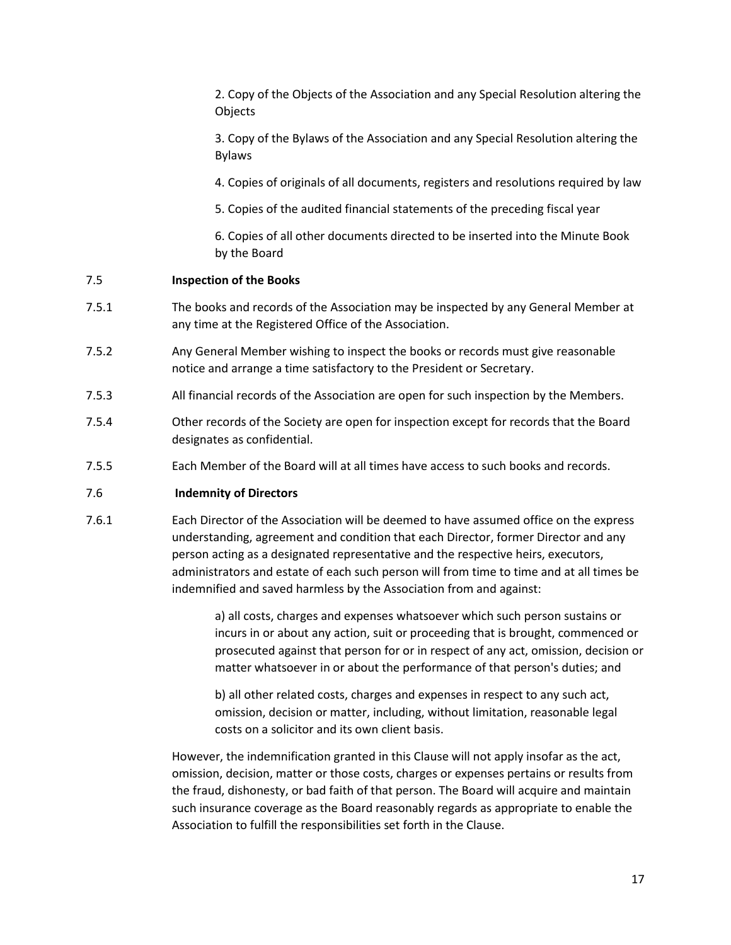2. Copy of the Objects of the Association and any Special Resolution altering the Objects

3. Copy of the Bylaws of the Association and any Special Resolution altering the Bylaws

4. Copies of originals of all documents, registers and resolutions required by law

5. Copies of the audited financial statements of the preceding fiscal year

6. Copies of all other documents directed to be inserted into the Minute Book by the Board

#### 7.5 **Inspection of the Books**

- 7.5.1 The books and records of the Association may be inspected by any General Member at any time at the Registered Office of the Association.
- 7.5.2 Any General Member wishing to inspect the books or records must give reasonable notice and arrange a time satisfactory to the President or Secretary.
- 7.5.3 All financial records of the Association are open for such inspection by the Members.
- 7.5.4 Other records of the Society are open for inspection except for records that the Board designates as confidential.
- 7.5.5 Each Member of the Board will at all times have access to such books and records.

#### 7.6 **Indemnity of Directors**

7.6.1 Each Director of the Association will be deemed to have assumed office on the express understanding, agreement and condition that each Director, former Director and any person acting as a designated representative and the respective heirs, executors, administrators and estate of each such person will from time to time and at all times be indemnified and saved harmless by the Association from and against:

> a) all costs, charges and expenses whatsoever which such person sustains or incurs in or about any action, suit or proceeding that is brought, commenced or prosecuted against that person for or in respect of any act, omission, decision or matter whatsoever in or about the performance of that person's duties; and

b) all other related costs, charges and expenses in respect to any such act, omission, decision or matter, including, without limitation, reasonable legal costs on a solicitor and its own client basis.

However, the indemnification granted in this Clause will not apply insofar as the act, omission, decision, matter or those costs, charges or expenses pertains or results from the fraud, dishonesty, or bad faith of that person. The Board will acquire and maintain such insurance coverage as the Board reasonably regards as appropriate to enable the Association to fulfill the responsibilities set forth in the Clause.